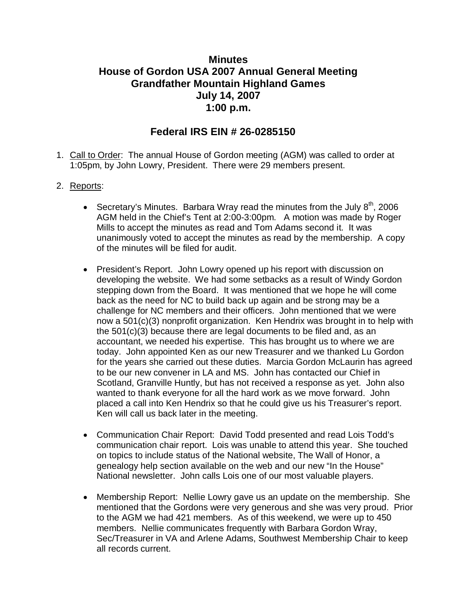## **Minutes House of Gordon USA 2007 Annual General Meeting Grandfather Mountain Highland Games July 14, 2007 1:00 p.m.**

## **Federal IRS EIN # 26-0285150**

1. Call to Order: The annual House of Gordon meeting (AGM) was called to order at 1:05pm, by John Lowry, President. There were 29 members present.

## 2. Reports:

- Secretary's Minutes. Barbara Wray read the minutes from the July  $8<sup>th</sup>$ , 2006 AGM held in the Chief's Tent at 2:00-3:00pm. A motion was made by Roger Mills to accept the minutes as read and Tom Adams second it. It was unanimously voted to accept the minutes as read by the membership. A copy of the minutes will be filed for audit.
- President's Report. John Lowry opened up his report with discussion on developing the website. We had some setbacks as a result of Windy Gordon stepping down from the Board. It was mentioned that we hope he will come back as the need for NC to build back up again and be strong may be a challenge for NC members and their officers. John mentioned that we were now a 501(c)(3) nonprofit organization. Ken Hendrix was brought in to help with the 501(c)(3) because there are legal documents to be filed and, as an accountant, we needed his expertise. This has brought us to where we are today. John appointed Ken as our new Treasurer and we thanked Lu Gordon for the years she carried out these duties. Marcia Gordon McLaurin has agreed to be our new convener in LA and MS. John has contacted our Chief in Scotland, Granville Huntly, but has not received a response as yet. John also wanted to thank everyone for all the hard work as we move forward. John placed a call into Ken Hendrix so that he could give us his Treasurer's report. Ken will call us back later in the meeting.
- Communication Chair Report: David Todd presented and read Lois Todd's communication chair report. Lois was unable to attend this year. She touched on topics to include status of the National website, The Wall of Honor, a genealogy help section available on the web and our new "In the House" National newsletter. John calls Lois one of our most valuable players.
- Membership Report: Nellie Lowry gave us an update on the membership. She mentioned that the Gordons were very generous and she was very proud. Prior to the AGM we had 421 members. As of this weekend, we were up to 450 members. Nellie communicates frequently with Barbara Gordon Wray, Sec/Treasurer in VA and Arlene Adams, Southwest Membership Chair to keep all records current.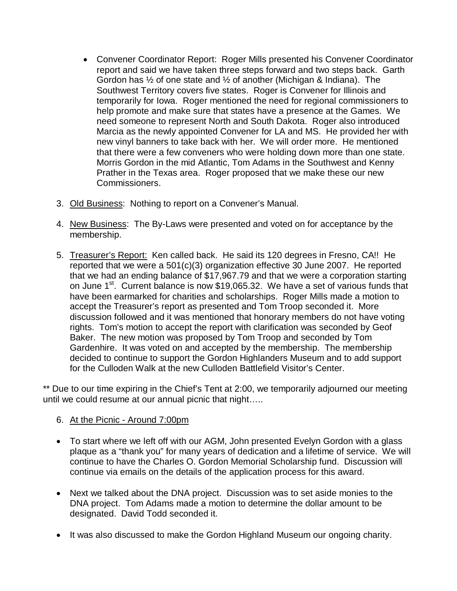- Convener Coordinator Report: Roger Mills presented his Convener Coordinator report and said we have taken three steps forward and two steps back. Garth Gordon has ½ of one state and ½ of another (Michigan & Indiana). The Southwest Territory covers five states. Roger is Convener for Illinois and temporarily for Iowa. Roger mentioned the need for regional commissioners to help promote and make sure that states have a presence at the Games. We need someone to represent North and South Dakota. Roger also introduced Marcia as the newly appointed Convener for LA and MS. He provided her with new vinyl banners to take back with her. We will order more. He mentioned that there were a few conveners who were holding down more than one state. Morris Gordon in the mid Atlantic, Tom Adams in the Southwest and Kenny Prather in the Texas area. Roger proposed that we make these our new Commissioners.
- 3. Old Business: Nothing to report on a Convener's Manual.
- 4. New Business: The By-Laws were presented and voted on for acceptance by the membership.
- 5. Treasurer's Report: Ken called back. He said its 120 degrees in Fresno, CA!! He reported that we were a 501(c)(3) organization effective 30 June 2007. He reported that we had an ending balance of \$17,967.79 and that we were a corporation starting on June 1<sup>st</sup>. Current balance is now \$19,065.32. We have a set of various funds that have been earmarked for charities and scholarships. Roger Mills made a motion to accept the Treasurer's report as presented and Tom Troop seconded it. More discussion followed and it was mentioned that honorary members do not have voting rights. Tom's motion to accept the report with clarification was seconded by Geof Baker. The new motion was proposed by Tom Troop and seconded by Tom Gardenhire. It was voted on and accepted by the membership. The membership decided to continue to support the Gordon Highlanders Museum and to add support for the Culloden Walk at the new Culloden Battlefield Visitor's Center.

\*\* Due to our time expiring in the Chief's Tent at 2:00, we temporarily adjourned our meeting until we could resume at our annual picnic that night…..

## 6. At the Picnic - Around 7:00pm

- To start where we left off with our AGM, John presented Evelyn Gordon with a glass plaque as a "thank you" for many years of dedication and a lifetime of service. We will continue to have the Charles O. Gordon Memorial Scholarship fund. Discussion will continue via emails on the details of the application process for this award.
- Next we talked about the DNA project. Discussion was to set aside monies to the DNA project. Tom Adams made a motion to determine the dollar amount to be designated. David Todd seconded it.
- It was also discussed to make the Gordon Highland Museum our ongoing charity.